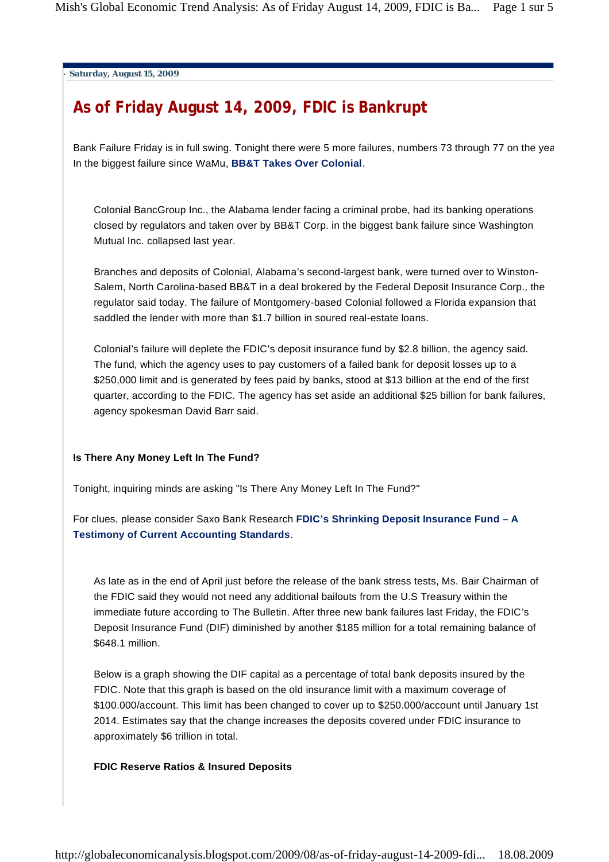. **Saturday, August 15, 2009**

# **As of Friday August 14, 2009, FDIC is Bankrupt**

Bank Failure Friday is in full swing. Tonight there were 5 more failures, numbers 73 through 77 on the year. In the biggest failure since WaMu, **BB&T Takes Over Colonial**.

Colonial BancGroup Inc., the Alabama lender facing a criminal probe, had its banking operations closed by regulators and taken over by BB&T Corp. in the biggest bank failure since Washington Mutual Inc. collapsed last year.

Branches and deposits of Colonial, Alabama's second-largest bank, were turned over to Winston-Salem, North Carolina-based BB&T in a deal brokered by the Federal Deposit Insurance Corp., the regulator said today. The failure of Montgomery-based Colonial followed a Florida expansion that saddled the lender with more than \$1.7 billion in soured real-estate loans.

Colonial's failure will deplete the FDIC's deposit insurance fund by \$2.8 billion, the agency said. The fund, which the agency uses to pay customers of a failed bank for deposit losses up to a \$250,000 limit and is generated by fees paid by banks, stood at \$13 billion at the end of the first quarter, according to the FDIC. The agency has set aside an additional \$25 billion for bank failures, agency spokesman David Barr said.

## **Is There Any Money Left In The Fund?**

Tonight, inquiring minds are asking "Is There Any Money Left In The Fund?"

For clues, please consider Saxo Bank Research **FDIC's Shrinking Deposit Insurance Fund – A Testimony of Current Accounting Standards**.

As late as in the end of April just before the release of the bank stress tests, Ms. Bair Chairman of the FDIC said they would not need any additional bailouts from the U.S Treasury within the immediate future according to The Bulletin. After three new bank failures last Friday, the FDIC's Deposit Insurance Fund (DIF) diminished by another \$185 million for a total remaining balance of \$648.1 million.

Below is a graph showing the DIF capital as a percentage of total bank deposits insured by the FDIC. Note that this graph is based on the old insurance limit with a maximum coverage of \$100.000/account. This limit has been changed to cover up to \$250.000/account until January 1st 2014. Estimates say that the change increases the deposits covered under FDIC insurance to approximately \$6 trillion in total.

## **FDIC Reserve Ratios & Insured Deposits**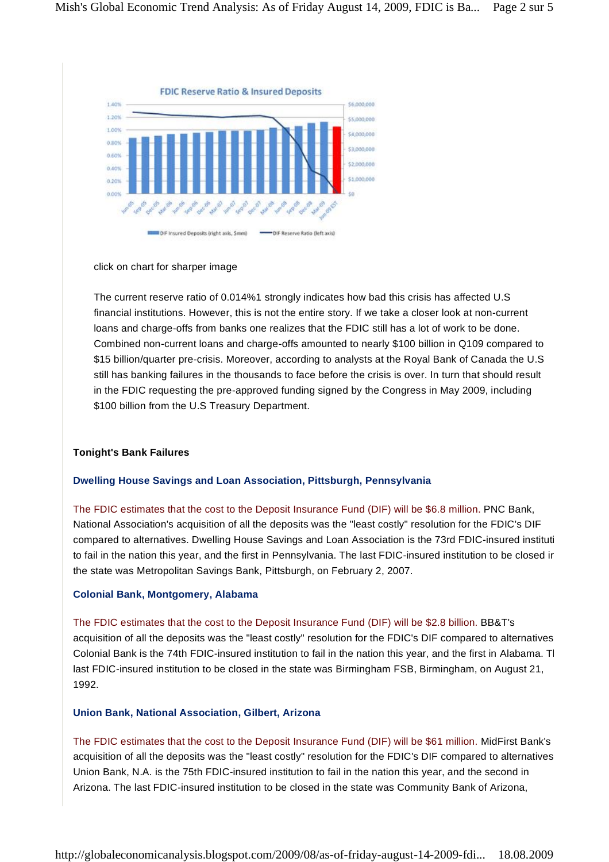

#### click on chart for sharper image

The current reserve ratio of 0.014%1 strongly indicates how bad this crisis has affected U.S financial institutions. However, this is not the entire story. If we take a closer look at non-current loans and charge-offs from banks one realizes that the FDIC still has a lot of work to be done. Combined non-current loans and charge-offs amounted to nearly \$100 billion in Q109 compared to \$15 billion/quarter pre-crisis. Moreover, according to analysts at the Royal Bank of Canada the U.S still has banking failures in the thousands to face before the crisis is over. In turn that should result in the FDIC requesting the pre-approved funding signed by the Congress in May 2009, including \$100 billion from the U.S Treasury Department.

## **Tonight's Bank Failures**

#### **Dwelling House Savings and Loan Association, Pittsburgh, Pennsylvania**

The FDIC estimates that the cost to the Deposit Insurance Fund (DIF) will be \$6.8 million. PNC Bank, National Association's acquisition of all the deposits was the "least costly" resolution for the FDIC's DIF compared to alternatives. Dwelling House Savings and Loan Association is the 73rd FDIC-insured institution to fail in the nation this year, and the first in Pennsylvania. The last FDIC-insured institution to be closed in the state was Metropolitan Savings Bank, Pittsburgh, on February 2, 2007.

#### **Colonial Bank, Montgomery, Alabama**

The FDIC estimates that the cost to the Deposit Insurance Fund (DIF) will be \$2.8 billion. BB&T's acquisition of all the deposits was the "least costly" resolution for the FDIC's DIF compared to alternatives. Colonial Bank is the 74th FDIC-insured institution to fail in the nation this year, and the first in Alabama. The last FDIC-insured institution to be closed in the state was Birmingham FSB, Birmingham, on August 21, 1992.

#### **Union Bank, National Association, Gilbert, Arizona**

The FDIC estimates that the cost to the Deposit Insurance Fund (DIF) will be \$61 million. MidFirst Bank's acquisition of all the deposits was the "least costly" resolution for the FDIC's DIF compared to alternatives. Union Bank, N.A. is the 75th FDIC-insured institution to fail in the nation this year, and the second in Arizona. The last FDIC-insured institution to be closed in the state was Community Bank of Arizona,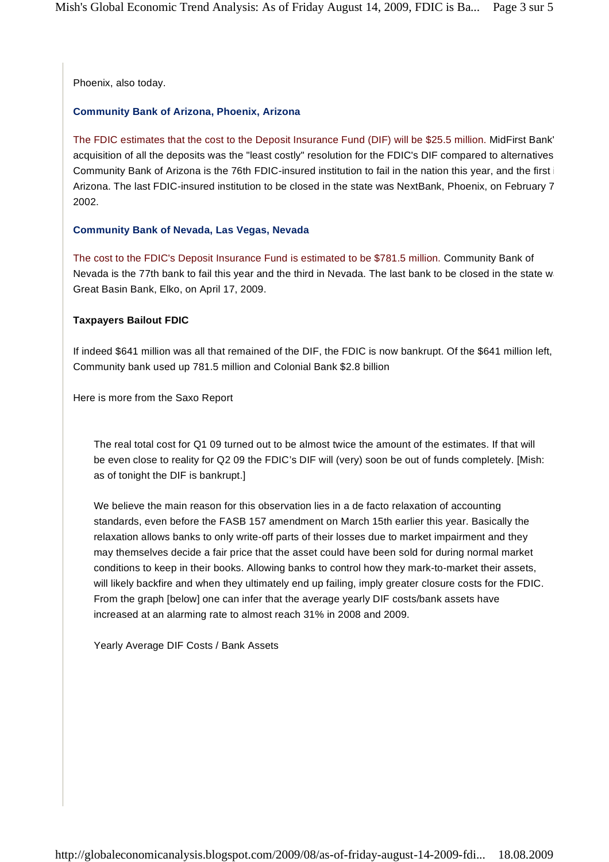Phoenix, also today.

#### **Community Bank of Arizona, Phoenix, Arizona**

The FDIC estimates that the cost to the Deposit Insurance Fund (DIF) will be \$25.5 million. MidFirst Bank' acquisition of all the deposits was the "least costly" resolution for the FDIC's DIF compared to alternatives. Community Bank of Arizona is the 76th FDIC-insured institution to fail in the nation this year, and the first i Arizona. The last FDIC-insured institution to be closed in the state was NextBank, Phoenix, on February 7, 2002.

#### **Community Bank of Nevada, Las Vegas, Nevada**

The cost to the FDIC's Deposit Insurance Fund is estimated to be \$781.5 million. Community Bank of Nevada is the 77th bank to fail this year and the third in Nevada. The last bank to be closed in the state was Great Basin Bank, Elko, on April 17, 2009.

#### **Taxpayers Bailout FDIC**

If indeed \$641 million was all that remained of the DIF, the FDIC is now bankrupt. Of the \$641 million left, Community bank used up 781.5 million and Colonial Bank \$2.8 billion

Here is more from the Saxo Report

The real total cost for Q1 09 turned out to be almost twice the amount of the estimates. If that will be even close to reality for Q2 09 the FDIC's DIF will (very) soon be out of funds completely. [Mish: as of tonight the DIF is bankrupt.]

We believe the main reason for this observation lies in a de facto relaxation of accounting standards, even before the FASB 157 amendment on March 15th earlier this year. Basically the relaxation allows banks to only write-off parts of their losses due to market impairment and they may themselves decide a fair price that the asset could have been sold for during normal market conditions to keep in their books. Allowing banks to control how they mark-to-market their assets, will likely backfire and when they ultimately end up failing, imply greater closure costs for the FDIC. From the graph [below] one can infer that the average yearly DIF costs/bank assets have increased at an alarming rate to almost reach 31% in 2008 and 2009.

Yearly Average DIF Costs / Bank Assets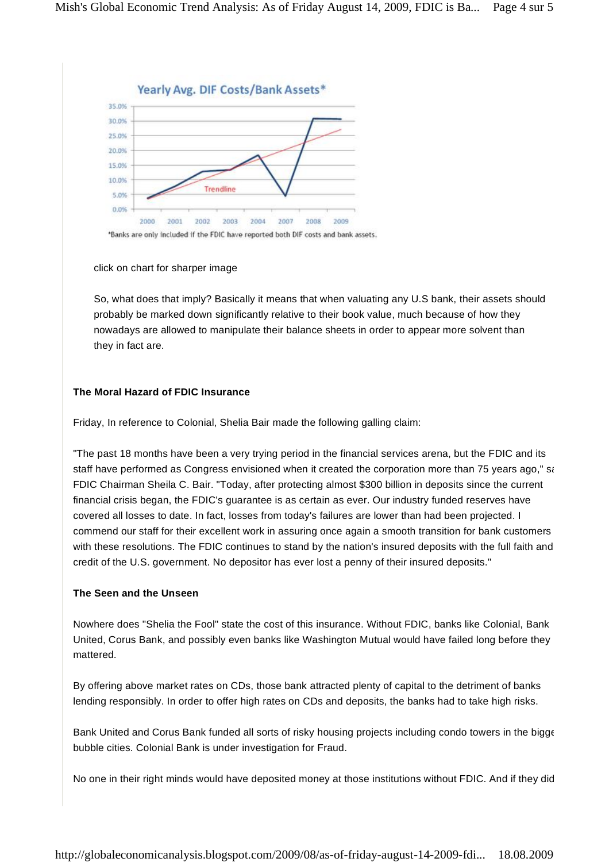

click on chart for sharper image

So, what does that imply? Basically it means that when valuating any U.S bank, their assets should probably be marked down significantly relative to their book value, much because of how they nowadays are allowed to manipulate their balance sheets in order to appear more solvent than they in fact are.

# **The Moral Hazard of FDIC Insurance**

Friday, In reference to Colonial, Shelia Bair made the following galling claim:

"The past 18 months have been a very trying period in the financial services arena, but the FDIC and its staff have performed as Congress envisioned when it created the corporation more than 75 years ago," said FDIC Chairman Sheila C. Bair. "Today, after protecting almost \$300 billion in deposits since the current financial crisis began, the FDIC's guarantee is as certain as ever. Our industry funded reserves have covered all losses to date. In fact, losses from today's failures are lower than had been projected. I commend our staff for their excellent work in assuring once again a smooth transition for bank customers with these resolutions. The FDIC continues to stand by the nation's insured deposits with the full faith and credit of the U.S. government. No depositor has ever lost a penny of their insured deposits."

# **The Seen and the Unseen**

Nowhere does "Shelia the Fool" state the cost of this insurance. Without FDIC, banks like Colonial, Bank United, Corus Bank, and possibly even banks like Washington Mutual would have failed long before they mattered.

By offering above market rates on CDs, those bank attracted plenty of capital to the detriment of banks lending responsibly. In order to offer high rates on CDs and deposits, the banks had to take high risks.

Bank United and Corus Bank funded all sorts of risky housing projects including condo towers in the bigge bubble cities. Colonial Bank is under investigation for Fraud.

No one in their right minds would have deposited money at those institutions without FDIC. And if they did